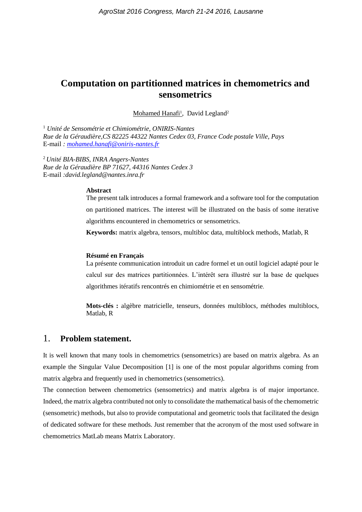# **Computation on partitionned matrices in chemometrics and sensometrics**

Mohamed Hanafi<sup>1</sup>, David Legland<sup>2</sup>

<sup>1</sup> *Unité de Sensométrie et Chimiométrie, ONIRIS-Nantes Rue de la Géraudière,CS 82225 44322 Nantes Cedex 03, France Code postale Ville, Pays* E-mail *: [mohamed.hanafi@oniris-nantes.fr](mailto:mohamed.hanafi@oniris-nantes.fr)*

<sup>2</sup> *Unité BIA-BIBS, INRA Angers-Nantes Rue de la Géraudière BP 71627, 44316 Nantes Cedex 3* E-mail *:david.legland@nantes.inra.fr*

#### **Abstract**

The present talk introduces a formal framework and a software tool for the computation on partitioned matrices. The interest will be illustrated on the basis of some iterative algorithms encountered in chemometrics or sensometrics.

**Keywords:** matrix algebra, tensors, multibloc data, multiblock methods, Matlab, R

#### **Résumé en Français**

La présente communication introduit un cadre formel et un outil logiciel adapté pour le calcul sur des matrices partitionnées. L'intérêt sera illustré sur la base de quelques algorithmes itératifs rencontrés en chimiométrie et en sensométrie.

**Mots-clés :** algèbre matricielle, tenseurs, données multiblocs, méthodes multiblocs, Matlab, R

## 1. **Problem statement.**

It is well known that many tools in chemometrics (sensometrics) are based on matrix algebra. As an example the Singular Value Decomposition [1] is one of the most popular algorithms coming from matrix algebra and frequently used in chemometrics (sensometrics).

The connection between chemometrics (sensometrics) and matrix algebra is of major importance. Indeed, the matrix algebra contributed not only to consolidate the mathematical basis of the chemometric (sensometric) methods, but also to provide computational and geometric tools that facilitated the design of dedicated software for these methods. Just remember that the acronym of the most used software in chemometrics MatLab means Matrix Laboratory.